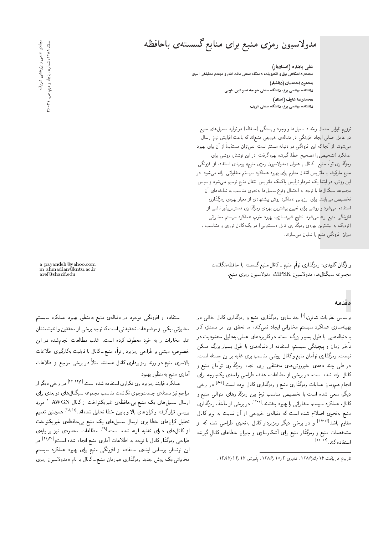# مدولاسبون رمزى منبع براى منابع گسستهى باحافظه

علی پاینده ( استادیار) .<br>مجتمع دانشگاهی برق و الکترونیك، دانشگاه صنعتی مالك اشتر و مجتمع تحقیقاتی اسری محمود احمدیان (دانشیار) دانشکده مهندسی برق، دانشگاه صنعتی خواجه نصیرالدین طوسی محمدرضا عارف (استاد) دانشکده مهندسی برق، دانشگاه صنعتی شریف

توزیع نابرابر احتمال رخداد سمبل ها و وجود وابستگی (حافظه) در تولید سمبل های منبع، دو عامل اصلی ایجاد افزونگی در دنبالهی خروجی منبعاند که باعث افزایش نرخ ارسال میشوند. از آنجا که این افزونگی در دنباله مستتر است، نمیتوان مستقیماً از آن برای بهبود عملکرد (تشخیص یا تصحیح خطا)گیرنده بهره گرفت. در این نوشتار، روشی برای رمزگذاری توأم منبع ـ کانال با عنوان «مدولاسیون رمزی منبع» برمبنای استفاده از افزونگی منبع مارکوف با ماتریس انتقال معلوم برای بهبود عملکرد سیستم مخابراتی ارائه می شود. در این روش، در ابتدا یک نمودار ترلیس باکمک ماتریس انتقال منبع ترسیم میشود و سپس مجموعه سیگنال ها با توجه به احتمال وقوع سمبل ها بهنحوی مناسب به شاخه های آن تخصیص می،یابند. برای ارزیابی عملکرد روش پیشنهادی از معیار بهرهی رمزگذاری استفاده میشود و روشی برای تعیین بیشترین بهرهی رمزگذاری دسترس پذیر ناشی از افزونگی منبع ارائه می شود. نتایج شبیهسازی، بهبود خوبِ عملکرد سیستم مخابراتی (نزدیک به بیشترین بهرهی رمزگذاری قابل دست یابی) در یک کانال نویزی و متناسب با میزان افزونگی منبع را نمایان می سازند.

وا**ژگان کلیدی**: رمزگذاری توأم منبع ـ کانال،منبع گسسته با حافظه،نگاشت مجموعه سيگنال&ا، مدولاسيون MPSK، مدولاسيون رمزي منبع.

#### مقدمه

براساس نظریات شانون،<sup>[۱]</sup> جداسازی رمزگذاری منبع و رمزگذاری کانال خلل<sub>ی</sub> در بهینهسازی عملکرد سیستم مخابراتی ایجاد نمیکند، اما تحقق این امر مستلزم کار با دنبالههایی با طول بسیار بزرگ است. در کاربردهای عملی،بهدلیل محدودیت در تأخیر زمان و پیچیدگی سیستم، استفاده از دنبالههای با طول بسیار بزرگ ممکن نیست. رمزگذاری توأمان منبع وکانال روشی مناسب برای غلبه بر این مسئله است. در طی چند دههی اخیرروشهای مختلفی برای انجام رمزگذاری توأمان منبع و کانال ارائه شده است. در برخی از مطالعات، هدف طراحی واحدی یکپارچه برای انجام همزمان عملیات رمزگذاری منبع و رمزگذاری کانال بوده است.<sup>[۴-۲]</sup> در برخی دیگر، سعی شده است با تخصیص مناسب نرخ بین رمزگذارهای متوالی منبع و کانال، عملکرد سیستم مخابراتی را بهبود بخشند.<sup>[۱۲-۷]</sup> در برخی از مآخذ، رمزگذاری منبع بهنحوی اصلاح شده است که دنبالهی خروجی از آن نسبت به نویز کانال مقاوم باشد<sup>[۱۲-۱۸]</sup> و در برخی دیگر رمزبردار کانال بهنحوی طراحی شده که از مشخصات منبع و رمزگذار منبع برای آشکارسازی و جبران خطاهای کانال گیرنده استفاده كند. [11-11]

مجلحی علمی و پژوهشی شریف<br>اسفند ۱۳۸۸، شمارهی پنجاه و دوم. ص. ۲۱-۶

a\_payandeh@yahoo.com m\_ahmadian@kntu.ac.ir aref@sharif.edu

استفاده از افزونگی موجود در دنبالهی منبع بهمنظور بهبود عملکرد سیستم مخابراتي، يكي از موضوعات تحقيقاتي است كه توجه برخي از محققين و انديشمندان .<br>علم مخابرات را به خود معطوف کرده است. اغلب مطالعات انجامشده در این خصوص، مبتنبي بر طراحي رمزبردار توأم منبع ـ كانال با قابليت بهكارگيرى اطلاعات بالاسری منبع در روند رمزبرداری کانال هستند. مثلاً در برخی مراجع از اطلاعات أمارى منبع بهمنظور بهبود

عملکرد فرایند رمزبرداری تکراری استفاده شده است.<sup>[۱۴٫۲۱-۱۶</sup>] در برخی دیگر از مراجع نیز مسئلهی جستوجوی نگاشت مناسب مجموعه سیگنال های دوبعدی برای ارسال سمبل های یک منبع بی حافظهی غیریکنواخت از کانال AWGN <sup>۱</sup> مورد بررسی قرار گرفته و کرانهای بالا و پایین خطا تحلیل شدهاند.<sup>[۲۸٫۲۷]</sup> همچنین تعمیم تحلیل کران های خطا برای ارسال سمبل های یک منبع بی حافظهی غیریکنواخت از کانال های دارای تغذیه ارائه شده است.<sup>[۲۹]</sup> مطالعات محدودی نیز بر پایهی طراحی رمزگذارکانال با توجه به اطلاعات آماری منبع انجام شده استو<sup>[۳۱٫۳۰</sup>۰] در این نوشتار، براساس ایدهی استفاده از افزونگی منبع برای بهبود عملکرد سیستم مخابراتی،یک روش جدید رمزگذاری همزمان منبع ـ کانال با نام «مدولاسیون ر*م*زی

تاريخ: دريافت ١٢ (١٣٨۶هـ١٣٨۶، داوري ١٣٨٣، ١٣٨٧، پذيرش ١٢ (١٢ ١٣٨٧).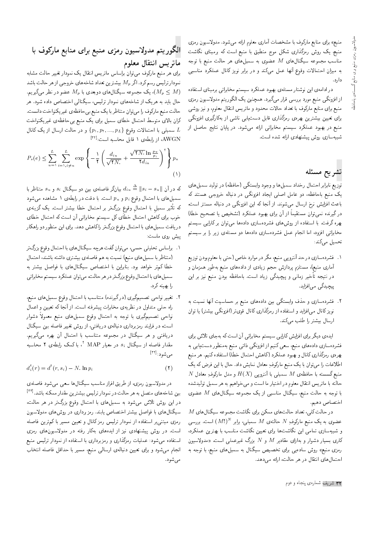منبع» برای منابع مارکوف با مشخصات آماری معلوم ارائه میشود. مدولاسیون رمزی منبع، یک روش رمزگذاری شکل موج منطبق با منبع است که برمبنای نگاشت مناسب مجموعه سیگنال $M$  عضوی به سمبل $d$ ای هر حالت منبع با توجه به میزان احتمالات وقوع أنها عمل میکند و در برابر نویز کانال عملکرد مناسبی دارد.

در ادامه ی این نوشتار مسئله ی بهبود عملکرد سیستم مخابراتی برمبنای استفاده از افزونگی منبع مورد بررسی قرار میگیرد. همچنین یک الگوریتم مدولاسیون رمزی منبع برای منابع مارکوف با تعداد حالات محدود و ماتریس انتقال معلوم، و نیز روشی برای تعیین بیشترین بهرهی رمزگذاری قابل دست،یابی ناشی از بهکارگیری افزونگی منبع در بهبود عملکرد سیستم مخابراتی ارائه میشود. در پایان نتایج حاصل از شبیهسازی روش پیشنهادی ارائه شده است.

### تشريح مسئله

توزیع نابرابر احتمال رخداد سمبلها و وجود وابستگی (حافظه) در تولید سمبلهای یک منبع باحافظه، دو عامل اصلی ایجاد افزونگی در دنباله خروجی هستند که باعث افزایش نرخ ارسال میشوند. از أنجا که این افزونگی در دنباله مستتر است، در گیرنده نمی توان مستقیماً از آن برای بهبود عملکرد (تشخیص یا تصحیح خطا) بهره گرفت. با استفاده از روش۵ای فشردهسازی دادهها میٍتوان بر کارایی سیستم مخابراتی افزود، اما انجام عمل فشردهسازی دادهها دو مسئلهی زیر را بر سیستم تحميل مى كند:

- ۱. فشردهسازی در حد آنتروپی منبع، مگر در موارد خاص (حتی با معلومبودن توزیع آماری منبع)، مستلزم پردازش حجم زیادی از دادههای منبع بهطور همزمان و در نتیجه تأخیر زمانی و پیچیدگی زیاد است. باحافظه بودن منبع نیز بر این پیچیدگی می|فزاید.
- ۲. فشردهسازی و حذف وابستگی بین دادههای منبع بر حساسیت آنها نسبت به نویزکانال می|فزاید و استفاده از رمزگذاری کانال قویتر (افزونگی بیشتر) یا توان ارسال بیشتر را طلب میکند.

|یدهی دیگر برای افزایش کارایی سیستم مخابراتی آن است که بهجای تلاش برای فشردهسازی دادههای منبع، سعی کنیم از افزونگی ذاتی منبع بهمنظور دست یابی به بهرهى رمزگذارى كانال و بهبود عملكرد (كاهش احتمال خطا) استفاده كنيم. هر منبع اطلاعات را می;قان با یک منبع مارکوفِ معادل نمایش داد. حال با این فرض که یک  $N$  منبع گسسته با حافظه $M$  سمبلی با آنتروپی  $H(X)$  و مدل مارکوفِ معادل حالته با ماتريس انتقال معلوم در اختيار ما است و مى خواهيم به هر سمبل توليدشده با توجه به حالت منبع، سیگنال مناسبی از یک مجموعه سیگنال $M$  عضوی اختصاص دهيم.

 $M$  در حالت کلی، تعداد حالت۱ای ممکن برای نگاشت مجموعه سیگنال۱های عضوی به یک منبع مارکوفِ  $N$  حالته $M$  سمبلی، برابر  $(M!)^N$  است. بررسی و شبیهسازی تمامی این نگاشتها برای تعیین نگاشت مناسب با بهترین عملکرد. کاری بسیار دشوار و بهازای مقادیر  $M$  و  $N$  بزرگ غیرعملی است. «مدولاسیون رمزی منبع» روش سادهیی برای تخصیص سیگنال به سمبلهای منبع، با توجه به احتمال های انتقال در هر حالت، ارائه میدهد.

## الگوريتم مدولاسيون رمزي منبع براي منابع ماركوف با ماتريس انتقال معلوم

برای هر منبع مارکوف می توان براساس ماتریس انتقال یک نمودار تغییر حالت مشابه نمودار ترلیس رسم کرد. اگر  $M_p$  بیشترین تعداد شاخههای خروجی از هر حالت باشد . ایک مجموعه سیگنال $\mathfrak{sl}_D$  ویعدی با  $M_p$  عضو در نظر میگیریم  $(M_p \leq M)$ حال باید به هر یک از شاخههای نمودار ترلیس، سیگنالی اختصاص داده شود. هر حالت منبع ماركوف را مى توان متناظر با يک منبع بىحافظهى غير يكنواخت دانست. کران بالای متوسط احتمال خطای سمبل برای یک منبع بی حافظهی غیریکنواخت و در حالت ارسال از یک کانال  $\{p_1, p_1, ..., p_L\}$  سمبلی با احتمالات وقوع  $L$ AWG N، از رابطهی ۱ قابل محاسبه است:<sup>[۳۲]</sup>

$$
P_s(e) \leq \sum_{u=1}^{L} \sum_{i=1, i \neq u}^{L} \exp\left\{-\frac{1}{\mathbf{Y}} \left(\frac{d_{iu}}{\sqrt{\mathbf{Y}N_*}} + \frac{\sqrt{\mathbf{Y}N_*} \ln \frac{p_u}{p_i}}{\mathbf{Y}d_{iu}}\right)^{\mathbf{Y}}\right\} p_u
$$
\n(1)

که در آن  $\|s_i-s_u\|\triangleq\|d_i$  بیانگر فاصلهی بین دو سیگنال  $s_i$  و  $s_u$  متناظر با سمبلهای با احتمال وقوع  $p_i$  و  $p_u$  است. با دقت در رابطهی ۱ مشاهده میشود که تأثیر سمبلِ با احتمال ِ وقوعِ بزرگتر بر احتمال خطا بیشتر است. یک گزینه *ی* خوب برای کاهش احتمال خطای کل سیستم مخابراتی آن است که احتمال خطای دریافت سمبل های با احتمال وقوع بزرگتر را کاهش دهد. برای این منظور دو راهکار ييش روى ماست:

- ۰۱ . براساس تحلیلی حسی، می توان گفت هرچه سیگنال های با احتمال وقوع بزرگ تر (متناظر با سمبل های منبع) نسبت به هم فاصلهی بیشتری داشته باشند، احتمال خطا کم تر خواهد بود. بنابراین با اختصاص سیگنال،های با فواصل بیشتر به سمبل های با احتمال وقوع بزرگ تر در هر حالت، می توان عملکرد سیستم مخابراتی را بهينه كرد.
- ۲. تغییر نواحی تصمیمگیری (درگیرنده) متناسب با احتمال وقوع سمبلهای منبع، راه حلمی متداول در نظریهی مخابرات پیشرفته است. از آنجا که تعیین و اعمال نواحی تصمیمگیری با توجه به احتمال وقوع سمبلهای منبع معمولاً دشوار است، در فرایند رمزبرداری دنبالهی دریافتی، از روش تغییر فاصله بین سیگنال دریافتی و هر سیگنال در مجموعه متناسب با احتمال أن بهره میگیریم. مقدار فاصله از سیگنال  $s_i$  در معیار MAP ''، با کمک رابطهی ۲ محاسبه مىشود:[<sup>٣٢]</sup>

$$
d_i^{\mathfrak{r}}(r) = d^{\mathfrak{r}}(r, s_i) - N \cdot \ln p_i \tag{1}
$$

در مدولاسیون رمزی، از طریق افراز مناسب سیگنال ها سعی میشود فاصلهی بین شاخههای متصل به هر حالت در نمودار ترلیس بیشترین مقدار ممکنه باشد.<sup>[۳۲]</sup> در این روش تلاش میشود به سمبلهای با احتمال وقوع بزرگ تر در هر حالت، سیگنال،های با فواصل بیشتر اختصاص یابند. رمزبرداری در روش،ای مدولاسیون رمزی مبتنی,ر استفاده از نمودار ترلیس رمز کانال و تعیین مسیر با کم ترین فاصله است. در روش پیشنهادی نیز از ایدههای بهکار رفته در مدولاسیونهای رمزی استفاده میشود: عملیات رمزگذاری و رمزبرداری با استفاده از نمودار ترلیس منبع انجام مى شود و براى تعيين دنبالهى ارسالى منبع، مسير با حداقل فاصله انتخاب مې شود.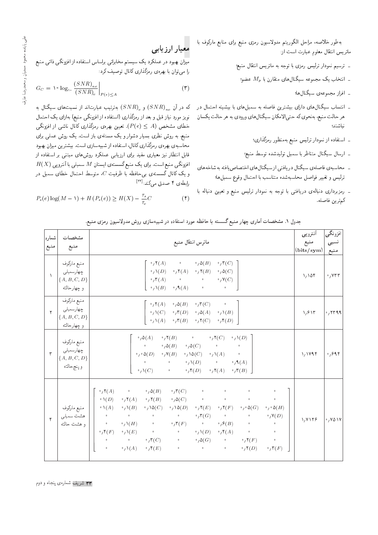بهطور خلاصه، مراحل الگوريتم مدولاسيون رمزى منبع براى منابع ماركوف با ماتريس انتقال معلوم عبارت است از:

- \_ ترسيم نمودار ترليس رمزى با توجه به ماتريس انتقال منبع؛
	- انتخاب یک مجموعه سیگنال $d$ ای متقارن با  $M_p$  عضو
		- \_ افراز مجموعه ی سیگنال ها؛
- \_ انتساب سیگنالهای دارای بیشترین فاصله به سمبلهای با بیشینه احتمال <mark>د</mark>ر هر حالت منبع، بهنحوي كه حتى|لامكان سيگنالهاي ورودي به هر حالت يكسان نباشند؛
	- \_ استفاده از نمودار ترلیس منبع بهمنظور رمزگذاری؛
	- \_ ارسال سیگنال متناظر با سمبل تولیدشده توسط منبع؛
- \_ محاسبهي فاصلهي سيگنال دريافتي از سيگنال هاي اختصاص يافته به شاخه هاي ترليس وتغيير فواصل محاسبهشده متناسب با احتمال وقوع سمبلها؛
- \_ رمزبرداری دنبالهی دریافتی با توجه به نمودار ترلیس منبع و تعیین دنباله با كم ترين فاصله.

# معيار ارزيابي

میزان بهبود در عملکرد یک سیستم مخابراتی براساس استفاده از افزونگی ذاتی منبع را میتوان با بهرهی رمزگذاری کانال توصیف کرد:

$$
G_C = \sqrt{\log_{\gamma^*} \frac{(SNR)_{nc}}{(SNR)_c}} \bigg|_{P(e) \le A} \tag{7}
$$

که در آن  $\left(SNR\right)_{c}$  و  $\left(SNR\right)_{c}$ ) بهترتیب عبارت $\left(SNR\right)_{nc}$  نسبت $\left(SNR\right)_{nc}$ نویز مورد نیاز قبل و بعد از رمزگذاری (استفاده از افزونگی منبع) بهازای یک احتمال خطای مشخص  $(P(e) \leq A)$ . تعیین بهرهی رمزگذاری کانال ناشی از افزونگی منبع، به روش نظری بسیار دشوار و یک مسئلهی باز است. یک روش عملی برای محاسبه ي بهره ي رمزگذاري كانال، استفاده از شبيهسازي است. بيشترين ميزان بهبود قابل انتظار نیز معیاری مفید برای ارزیابی عملکرد روش های مبتنی بر استفاده از  $H(X)$  افزونگی منبع است. برای یک منبع گسستهی ایستان  $M$  سمبلی با آنتروپی و یک کانال گسستهی بی حافظه با ظرفیت  $C$ ، متوسط احتمال خطای سمبل در رابطەی ۴ صدق مىكند:<sup>[۳۴]</sup>

$$
P_s(e) \log(M - 1) + H(P_s(e)) \ge H(X) - \frac{\tau_s}{\tau_c}C \tag{f}
$$

| جدول ۱. مشخصات آماری چهار منبع گسسته با حافظه مورد استفاده در شبیهسازی روش مدولاسیون رمزی منبع. |  |  |
|-------------------------------------------------------------------------------------------------|--|--|
|-------------------------------------------------------------------------------------------------|--|--|

| شماره<br>منبع        | مشخصات<br>منبع                                            | ماترس انتقال منبع                                                                                                                                                                                                                                                                                                                                                                                                                                                                                                                                                                                                                                                                                                                                                                                                                                                                                                                                                                                                                                                                                                                                                                                                                                                                                                                                                                                                                                                                                                                                      | أنترويي<br>منبع<br>(bits/sym) | افزونگي<br>نسبى<br>منبع   |
|----------------------|-----------------------------------------------------------|--------------------------------------------------------------------------------------------------------------------------------------------------------------------------------------------------------------------------------------------------------------------------------------------------------------------------------------------------------------------------------------------------------------------------------------------------------------------------------------------------------------------------------------------------------------------------------------------------------------------------------------------------------------------------------------------------------------------------------------------------------------------------------------------------------------------------------------------------------------------------------------------------------------------------------------------------------------------------------------------------------------------------------------------------------------------------------------------------------------------------------------------------------------------------------------------------------------------------------------------------------------------------------------------------------------------------------------------------------------------------------------------------------------------------------------------------------------------------------------------------------------------------------------------------------|-------------------------------|---------------------------|
| $\mathbf{V}$         | منبع ماركوف<br>چهارسمبلي<br>${A, B, C, D}$<br>و چهارحالته | $\cdot$ , $\mathsf{Y}(A)$ $\cdot$ $\cdot$<br>$\cdot$ , $\mathfrak{d}(B)$<br>$\lceil \cdot / \mathsf{r}(C) \rceil$<br>$\rightarrow$ $\wedge(D)$ $\rightarrow$ $\wedge$ $\wedge$ $(A)$ $\rightarrow$ $\wedge$ $\wedge$ $(B)$<br>$\cdot$ , $\Delta(C)$<br>$\overline{\phantom{a}}$ $\overline{\phantom{a}}$ $\overline{\phantom{a}}$ $\overline{\phantom{a}}$ $\overline{\phantom{a}}$ $\overline{\phantom{a}}$ $\overline{\phantom{a}}$ $\overline{\phantom{a}}$ $\overline{\phantom{a}}$ $\overline{\phantom{a}}$ $\overline{\phantom{a}}$ $\overline{\phantom{a}}$ $\overline{\phantom{a}}$ $\overline{\phantom{a}}$ $\overline{\phantom{a}}$ $\overline{\phantom{a}}$ $\overline{\phantom{a}}$ $\overline{\phantom{a}}$ $\overline{\$<br>$\left[\begin{array}{ccccc} \circ_{f}\Lambda(B) & \circ_{f}\Lambda(A) & \circ & \circ & \circ \end{array}\right]$                                                                                                                                                                                                                                                                                                                                                                                                                                                                                                                                                                                                                                                                                            | 1/105                         | $\cdot$ , $VTT$           |
| $\mathbf{r}$         | منبع ماركوف<br>چهارسمبلي<br>${A, B, C, D}$<br>و چهارحالته | $\cdot$ , $\mathsf{Y}(A)$ $\cdot$ , $\mathsf{A}(B)$ $\cdot$ , $\mathsf{Y}(C)$ $\cdot$ $\cdot$<br>$\lceil \cdot \rho \wedge (C) - \cdot \rho \nabla (D) - \cdot \rho \wedge (A) - \cdot \rho \wedge (B) \rceil$<br>$\gamma \setminus (A) \longrightarrow_{\ell} \mathsf{r}(B) \longrightarrow_{\ell} \mathsf{r}(C) \longrightarrow_{\ell} \mathsf{r}(D)$                                                                                                                                                                                                                                                                                                                                                                                                                                                                                                                                                                                                                                                                                                                                                                                                                                                                                                                                                                                                                                                                                                                                                                                                | 1.81                          | $\cdot$ , $\mathsf{rr99}$ |
|                      | منبع ماركوف<br>چهارسمبلي<br>$\{A,B,C,D\}$<br>و پنجحالته   | $\cdot$ $\phi(A)$ $\cdot$ $\phi(Y(B))$ $\cdot$ $\cdot$ $\phi(Y(C)$ $\cdot$ $\phi(Y(D))$<br>$\circ$ $\circ$ $\phi$ $(B)$ $\circ$ $\phi$ $(C)$ $\circ$ $\circ$ $\circ$<br>$\rightarrow$ $\gamma \circ \Delta(D)$ $\rightarrow$ $\gamma \mathsf{V}(B)$ $\rightarrow$ $\gamma \Delta(C)$ $\rightarrow$ $\gamma \Delta(A)$ $\rightarrow$<br>$\circ$ $\circ$ $\circ$ $\circ$ $\wedge$ $(D)$ $\circ$ $\circ$ $\wedge$ $\wedge$ $\wedge$ $\wedge$ $\wedge$<br>$\cdot$ , $\wedge$ (C) $\cdot$ $\cdot$ $\cdot$ , $\wedge$ (D) $\cdot$ , $\wedge$ (A) $\cdot$ , $\wedge$ (B)                                                                                                                                                                                                                                                                                                                                                                                                                                                                                                                                                                                                                                                                                                                                                                                                                                                                                                                                                                                      | 1/149                         | $\cdot$ , $999$           |
| $\check{\mathbf{r}}$ | منبع ماركوف<br>هشت سمبلى<br>و هشت حالته                   | $\mathcal{C}(\mathcal{T}(C))$ and the contract of the contract of the contract of the contract of the contract of the contract of the contract of the contract of the contract of the contract of the contract of the contract of the contr<br>$\cdot$ , $\mathsf{Y}(A)$ $\cdot$ $\cdot$ $\cdot$ $\cdot$ $\mathsf{A}(B)$<br>$\bullet$<br>$\cdot \mathsf{N}(D)$ $\cdot \mathsf{N}(A)$ $\cdot \mathsf{N}(B)$ $\cdot \mathsf{N}(C)$ $\cdot$ $\cdot$ $\cdot$ $\cdot$ $\cdot$<br>$ \cdot \setminus (A) - \cdot \cdot \setminus (B) - \cdot \cdot \setminus (A)C$<br>$\cdot$ , $\lambda \mathfrak{d}(D)$<br>$\cdot$ , $\mathsf{Y}(E)$ $\cdot$ , $\mathsf{Y}(F)$ $\cdot$ , $\circ$ $\mathsf{O}(G)$ $\cdot$ , $\cdot$ $\mathsf{O}(H)$<br>$\cdot$ , $\mathsf{r}(G)$ and $\cdot$ and $\cdot$<br>$\cdot$ , $\mathsf{Y}(D)$<br>$\circ$ $\circ$ $\prime$ $\mathcal{S}(B)$ $\circ$<br>$\mathbf{u} = \mathbf{0}$ , and $\mathbf{u} = \mathbf{0}$<br>$\cdot / \mathcal{N}(H)$ $\cdot$ $\cdot / \mathcal{N}(F)$<br>$\hat{\mathbf{o}}$<br>$\cdot/\Lambda(D) \quad \cdot/\mathsf{f}(A) \qquad \cdot \qquad \cdot$<br>$\cdot$ , $\mathfrak{f}(F)$ $\cdot$ , $\lambda(E)$<br>$\circ$ $\circ$ $\prime$ $\mathsf{r}(C)$ $\circ$<br>$\cdot$ , $\Delta(G)$ and $\cdot$ , $\mathsf{Y}(F)$ and $\cdot$<br>$\bullet$<br>$\gamma \Lambda(A)$<br>$\cdot$ , $\mathfrak{f}(E)$<br>$\mathbf{0}$ and $\mathbf{0}$ and $\mathbf{0}$ and $\mathbf{0}$ and $\mathbf{0}$ and $\mathbf{0}$ and $\mathbf{0}$<br>$\cdot$ , $\mathsf{Y}(D)$<br>$\mathfrak{o}^{\pm}$<br>$\cdot$ , $\mathsf{r}(F)$ | 1, 1179                       | $\cdot$ , YO \ Y          |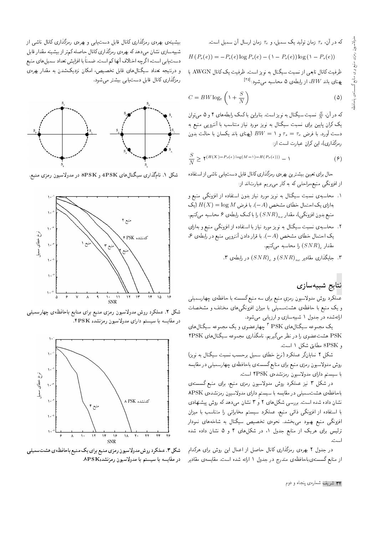كه در آن،  $\tau_s$  زمان توليد يک سمبل، و $\tau_c$  زمان ارسال آن سمبل است.

$$
H(P_s(e)) = -P_s(e) \log P_s(e) - (1 - P_s(e)) \log (1 - P_s(e))
$$

ظرفیت کانال تابعی از نسبت سیگنال به نویز است. ظرفیت یک کانال AWGN با پهنای باند  $BW$ ، از رابطهی ۵ محاسبه میشود: $^{[\Upsilon\mathfrak{0}]}$ 

$$
C = BW \log_{\tau} \left( 1 + \frac{S}{N} \right) \tag{3}
$$

که در آن، گیم نسبت سیگنال به نویز است. بنابراین با کمک رابطههای ۴ و ۵ می توان یک کران پایین برای نسبت سیگنال به نویز مورد نیاز متناسب با آنتروپی منبع به دست آورد. با فرض  $\tau_s=\tau_s$  و ۱ $W\equiv B$  (پهنای باند یکسان با حالت بدون رمزگذاری)، این کران عبارت است از:

$$
\frac{S}{N} \ge \mathbf{Y}^{(H(X) - P_s(e) \log(M - 1) - H(P_s(e)))} - 1 \tag{9}
$$

حال براي تعيين بيشترين بهرهي رمزگذاري كانال قابل دست يابي ناشي از استفاده از افزونگی منبع،مراحلی که به کار می بر یم عبارتاند از:

- ۱. محاسبهى نسبت سيگنال به نويز مورد نياز بدون استفاده از افزونگى منبع و بهازای یک احتمال خطای مشخص  $(-A)$ . با فرض  $H(X) = \log M$  (یک منبع بدون افزونگی)، مقدار $\left(SNR\right)_{nc}$  را با کمک رابطه $\bm{\beta}$  محاسبه میکنیم.
- ۲. محاسبهی نسبت سیگنال به نویز مورد نیاز با استفاده از افزونگمی منبع و بهازای  $\mathcal{S}$ احتمال خطای مشخص  $(-A)$ . با قرار دادن آنتروپی منبع در رابطهی ۶، ، مقدار  $\left(SNR\right)_{c}$  را محاسبه میکنیم
	- ۳. جایگذاری مقادیر  $(SNR)_{n,c}$ ) و  $(SNR)_{s}$ ) در رابطهی ۳.

#### نتايج شبيهسازى

عملکرد روش مدولاسیون رمزیِ منبع برای سه منبع گسسته با حافظه $چهارسمبل<sub>ی</sub>$ و یک منبع با حافظهی هشتسمبلی با میزان افزونگی های مختلف و مشخصات ارائهشده در جدول ١ شبيهسازي و ارزيابي مي شود.

یک مجموعه سیگنالهای PSK <sup>۳</sup> چهارعضوی و یک مجموعه سیگنالهای PSK هشتءضوی را در نظر میگیریم. نامگذاری مجموعه سیگنال های ۴PSK و 8PSK مطابق شکل ۱ است.

شکل ۲ نمایانگر عملکرد (نرخ خطای سمبل برحسب نسبت سیگنال به نویز) روش مدولاسیون رمزی منبع برای منابع گسستهی باحافظهی چهارسمبلبی در مقایسه با سيستم داراي مدولاسيون رمزنشدهى ۴PSK است.

در شکل ۳ نیز عملکرد روش مدولاسیون رمزی منبع، برای منبع گسستهی باحافظهى هشتسمبلم در مقايسه با سيستم داراى مدولاسيون رمزنشدهى APSK نشان داده شده است. بررسی شکلهای ۲ و ۳ نشان می دهد که روش پیشنهادی با استفاده از افزونگی ذاتی منبع، عملکرد سیستم مخابراتی را متناسب با میزان افزونگی منبع بهبود میبخشد. نحوهی تخصیص سیگنال به شاخههای نمودار ترلیس برای هریک از منابع جدول ۱، در شکلهای ۴ و ۵ نشان داده شده است.

در جدول ۲ بهرهی رمزگذاری کانال حاصل از اعمال این روش برای هرکدام از منابع گسستهىباحافظهى مندرج در جدول ١ ارائه شده است. مقايسهى مقادير

بیشینهی بهرهی رمزگذاری کانال قابل دست!بی و بهرهی رمزگذاری کانال ناشبی از شبیهسازی نشان می دهد که بهرهی رمزگذاری کانال حاصله کم تر از بیشینه مقدار قابل دست یابی است، اگرچه اختلاف آنها کم است. ضمناً با افزایش تعداد سمبل های منبع و درنتیجه تعداد سیگنال های قابل تخصیص، امکان نزدیکشدن به مقدار بهرهی رمزگذاری کانال قابل دست یابی بیشتر می شود.



شکل ۱. نامگذاری سیگنالهای  $8\mathrm{PSK}$  و  $8\mathrm{PSK}$  در مدولاسیون رمزی منبع.



شکل ۲. عملکرد روش مدولاسیون رمزی منبع برای منابع باحافظهی چهارسمبلی در مقایسه با سیستم دارای مدولاسیون رمزنشده ۴PSK.



شکل ۳. عملکرد روش مدولاسیون رمزی منبع برای یک منبع باحافظهی هشت سمبلی در مقايسه با سيستم با مدولاسيون رمزنشدهAPSK.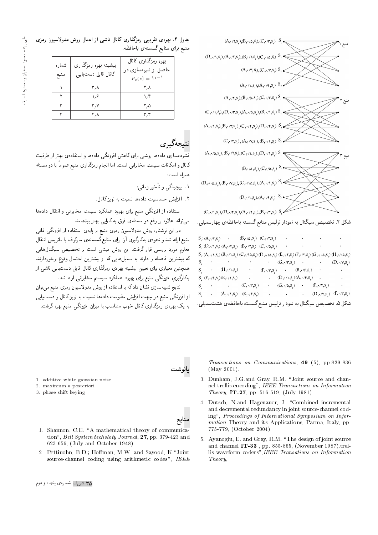

شکل ۴. تخصیص سیگنال به نمودار ترلیس منابع گسسته باحافظهی چهارسمبلی.

 $S_{y}$ :  $(A_{y}, \gamma, s_{y})$  .  $(B_{y}, \gamma, s_{y})$   $(C_{y}, \gamma, s_{y})$  $S_{\star}(\mathbf{D},\cdot/ \backslash, \mathbf{S})$   $(\mathbf{A},\cdot/\mathbf{Y},\mathbf{S})$   $(\mathbf{B},\cdot/\mathbf{Y},\mathbf{S})$   $(\mathbf{C},\cdot/\mathbf{A},\mathbf{S})$  $\bar{\beta}$  $\Delta$  $S_r(A, \gamma, s_*)(B, \gamma, s_*)(C, \gamma \Delta s_*)(D, \gamma \Delta s_*)(E, \gamma, s_*)(F, \gamma, s_*)(G, \gamma \Delta s_*)(H, \gamma \Delta s_*)$  $S_z$ :  $(G_y, \gamma, S_z)$  .  $(D, \gamma, s)$  $S_{\zeta}$ :  $\cdot$   $(H, \cdot \wedge, S_{\zeta})$  $\cdot \qquad \ \ \, (\mathbf{F},\!\cdot\!/\!\tau,\!s_{\mathfrak{s}}) \qquad \ \ \cdot \qquad \ \ (\mathbf{B},\!\cdot\!/\!\!\cdot\!,\!s_{\mathfrak{s}})$  $S_{\varphi}$ :  $(F, \cdot \wedge F, S_{\varphi})$   $(E, \cdot \wedge, S_{\varphi})$  $(D,\cdot \wedge, s)(A,\cdot \wedge, s)$ .  $S_{\mathbf{y}}$ :  $(C, \mathbf{y}, \mathbf{s})$   $(C, \mathbf{y}, \mathbf{s})$   $(C, \mathbf{y}, \mathbf{s})$   $(C, \mathbf{y}, \mathbf{s})$   $(C, \mathbf{y}, \mathbf{s})$  $S_{\lambda}$ :  $(A_{\lambda}, \wedge, S_{\lambda})$   $(E_{\lambda}, \wedge, S_{\lambda})$  .  $(D, \cdot/\tau, S)$   $(F, \cdot/\tau, S)$ شکل ۵. تخصیص سیگنال به نمودار ترلیس منبع گسسته باحافظهی هشتسمبلی.

Transactions on Communications, 49 (5), pp.829-836 (May 2001).

- 3. Dunham, J.G.and Gray, R.M. "Joint source and channel trellis encoding", IEEE Transactions on Information Theory, IT-27, pp. 516-519, (July 1981)
- 4. Dutsch, N.and Hagenauer, J. "Combined incremental and decremental redundancy in joint source-channel coding", Proceedings of International Symposium on Information Theory and its Applications, Parma, Italy, pp. 775-779, (October 2004)
- 5. Ayanoglu, E. and Gray, R.M. \The design of joint source and channel  $\bf IT\text{-}33$  , pp. 855-865, (November 1987). $\text{trel-}$ lis waveform coders",IEEE Transations on Information Theory,

جدول ۲. بهرهی تقریبی رمزگذاری کانال ناشی از اعمال روش مدولاسیون رمزی منبع برای منابع گسستهی باحافظه.

| شماره<br>منبع | بیشینه بهره رمزگذاری<br>كانال قابل دست يابى | بهره رمزگذاری کانال<br>حاصل از شبیهسازی در<br>$P_s(e) = \sqrt{e^{-\delta}}$ |
|---------------|---------------------------------------------|-----------------------------------------------------------------------------|
|               | ۳,۸                                         | ۲, ۸                                                                        |
|               | ۱٬۶                                         | ۱٬۴                                                                         |
| ٣             | ۳,۷                                         | ۲٬۵                                                                         |
|               | ۲,۸                                         | ۳٬۳                                                                         |

نتىچەگىدى

فشردهسازی دادهها روشی برای کاهش افزونگی دادهها و استفادهی بهتر از ظرفیت کانال و امکانات سیستم مخابراتی است. اما انجام رمزگذاری منبع عموماً با دو مسئله همراه است:

- ۰۱ پیچیدگی و تأخیر زمانی؛
- .<br>٢. افزایش حساسیت دادهها نسبت به نویز کانال.

استفاده از افزونگی منبع برای بهبود عملکرد سیستم مخابراتی و انتقال دادهها می تواند علاوه بر رفع دو مسئلهی فوق به کارایی بهتر بینجامد.

در این نوشتار، روش مدولاسیون رمزی منبع بر پایهی استفاده از افزونگی ذاتی منبع ارائه شد و نحوهى بهكارگيرى أن براى منابع گسستهى ماركوف با ماتريس انتقال معلوم مورد بررسی قرار گرفت. این روش مبتنی است بر تخصیص سیگنال هایی كه بيشترين فاصله را دارند به سمبل هايى كه از بيشترين احتمال وقوع برخوردارند. همچنین معیاری برای تعیین بیشینه بهرهی رمزگذاری کانال قابل دست یابی ناشبی از بهکارگیری افزونگی منبع برای بهبود عملکرد سیستم مخابراتی ارائه شد.

نتايج شبيهسازى نشان دادكه با استفاده از روش مدولاسيون رمزى منبع مى توان از افزونگی منبع در جهت افزایش مقاومت دادهها نسبت به نویزکانال و دستیابی به یک بهرهی رمزگذاری کانال خوب متناسب با میزان افزونگی منبع بهره گرفت.

پانوشت

- 1. additive white gaussian noise
- 2. maximum a posteriori
- 3. phase shift keying
- منابع 1. Shannon, C.E. "A mathematical theory of communication", Bell System techoloty Journal, 27, pp. 379-423 and 623-656, (July and October 1948).
- 2. Pettiuohn, B.D.; Hoffman, M.W. and Sayood, K."Joint source-channel coding using arithmetic codes", IEEE

**۳۵** شریف شمارهی پنجاه و دوم

على پاينده، محمود احمديان و محمدرضا عارف على پاينده، محمود احمديان و محمدرضا عارف